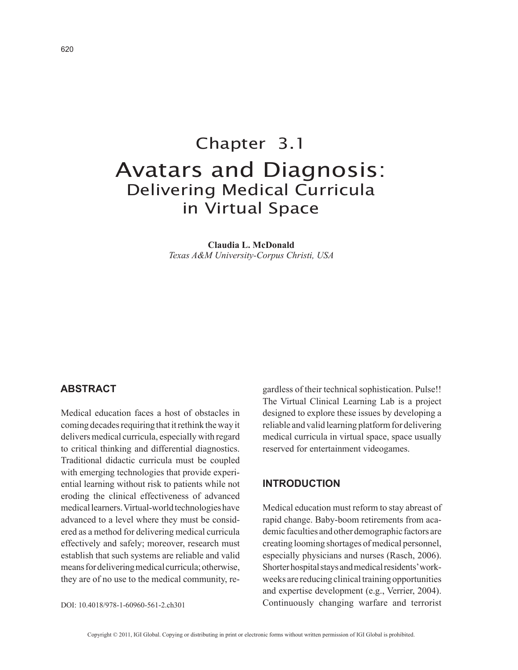# Chapter 3.1 Avatars and Diagnosis: Delivering Medical Curricula in Virtual Space

**Claudia L. McDonald** *Texas A&M University-Corpus Christi, USA*

### **AbstrAct**

Medical education faces a host of obstacles in coming decades requiring that it rethink the way it delivers medical curricula, especially with regard to critical thinking and differential diagnostics. Traditional didactic curricula must be coupled with emerging technologies that provide experiential learning without risk to patients while not eroding the clinical effectiveness of advanced medical learners. Virtual-world technologies have advanced to a level where they must be considered as a method for delivering medical curricula effectively and safely; moreover, research must establish that such systems are reliable and valid means for delivering medical curricula; otherwise, they are of no use to the medical community, re-

DOI: 10.4018/978-1-60960-561-2.ch301

gardless of their technical sophistication. Pulse!! The Virtual Clinical Learning Lab is a project designed to explore these issues by developing a reliable and valid learning platform for delivering medical curricula in virtual space, space usually reserved for entertainment videogames.

# **introduction**

Medical education must reform to stay abreast of rapid change. Baby-boom retirements from academic faculties and other demographic factors are creating looming shortages of medical personnel, especially physicians and nurses (Rasch, 2006). Shorter hospital stays and medical residents' workweeks are reducing clinical training opportunities and expertise development (e.g., Verrier, 2004). Continuously changing warfare and terrorist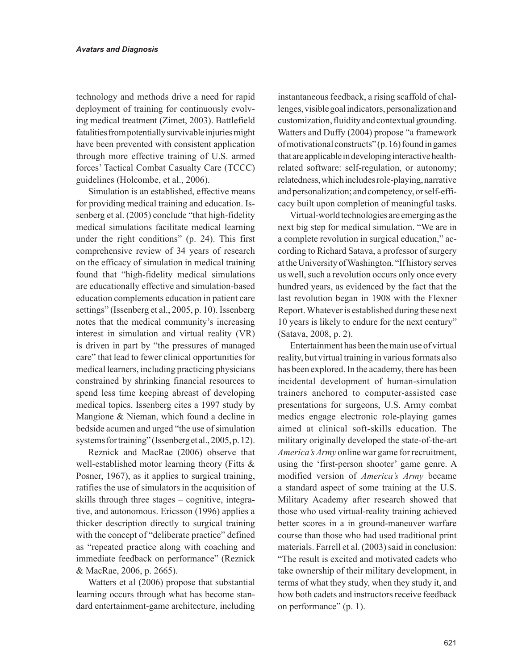technology and methods drive a need for rapid deployment of training for continuously evolving medical treatment (Zimet, 2003). Battlefield fatalities from potentially survivable injuries might have been prevented with consistent application through more effective training of U.S. armed forces' Tactical Combat Casualty Care (TCCC) guidelines (Holcombe, et al., 2006).

Simulation is an established, effective means for providing medical training and education. Issenberg et al. (2005) conclude "that high-fidelity medical simulations facilitate medical learning under the right conditions" (p. 24). This first comprehensive review of 34 years of research on the efficacy of simulation in medical training found that "high-fidelity medical simulations are educationally effective and simulation-based education complements education in patient care settings" (Issenberg et al., 2005, p. 10). Issenberg notes that the medical community's increasing interest in simulation and virtual reality (VR) is driven in part by "the pressures of managed care" that lead to fewer clinical opportunities for medical learners, including practicing physicians constrained by shrinking financial resources to spend less time keeping abreast of developing medical topics. Issenberg cites a 1997 study by Mangione & Nieman, which found a decline in bedside acumen and urged "the use of simulation systems for training" (Issenberg et al., 2005, p. 12).

Reznick and MacRae (2006) observe that well-established motor learning theory (Fitts & Posner, 1967), as it applies to surgical training, ratifies the use of simulators in the acquisition of skills through three stages – cognitive, integrative, and autonomous. Ericsson (1996) applies a thicker description directly to surgical training with the concept of "deliberate practice" defined as "repeated practice along with coaching and immediate feedback on performance" (Reznick & MacRae, 2006, p. 2665).

Watters et al (2006) propose that substantial learning occurs through what has become standard entertainment-game architecture, including instantaneous feedback, a rising scaffold of challenges, visible goal indicators, personalization and customization, fluidity and contextual grounding. Watters and Duffy (2004) propose "a framework of motivational constructs" (p. 16) found in games that are applicable in developing interactive healthrelated software: self-regulation, or autonomy; relatedness, which includes role-playing, narrative and personalization; and competency, or self-efficacy built upon completion of meaningful tasks.

Virtual-world technologies are emerging as the next big step for medical simulation. "We are in a complete revolution in surgical education," according to Richard Satava, a professor of surgery at the University of Washington. "If history serves us well, such a revolution occurs only once every hundred years, as evidenced by the fact that the last revolution began in 1908 with the Flexner Report. Whatever is established during these next 10 years is likely to endure for the next century" (Satava, 2008, p. 2).

Entertainment has been the main use of virtual reality, but virtual training in various formats also has been explored. In the academy, there has been incidental development of human-simulation trainers anchored to computer-assisted case presentations for surgeons, U.S. Army combat medics engage electronic role-playing games aimed at clinical soft-skills education. The military originally developed the state-of-the-art *America's Army* online war game for recruitment, using the 'first-person shooter' game genre. A modified version of *America's Army* became a standard aspect of some training at the U.S. Military Academy after research showed that those who used virtual-reality training achieved better scores in a in ground-maneuver warfare course than those who had used traditional print materials. Farrell et al. (2003) said in conclusion:

"The result is excited and motivated cadets who take ownership of their military development, in terms of what they study, when they study it, and how both cadets and instructors receive feedback on performance" (p. 1).